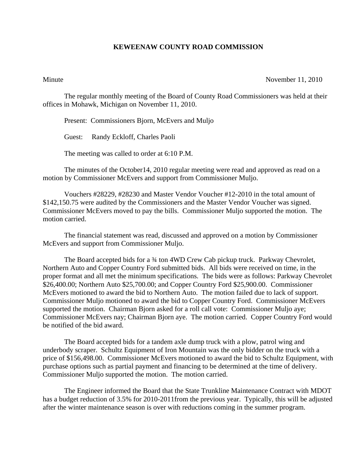## **KEWEENAW COUNTY ROAD COMMISSION**

## Minute November 11, 2010

The regular monthly meeting of the Board of County Road Commissioners was held at their offices in Mohawk, Michigan on November 11, 2010.

Present: Commissioners Bjorn, McEvers and Muljo

Guest: Randy Eckloff, Charles Paoli

The meeting was called to order at 6:10 P.M.

 The minutes of the October14, 2010 regular meeting were read and approved as read on a motion by Commissioner McEvers and support from Commissioner Muljo.

 Vouchers #28229, #28230 and Master Vendor Voucher #12-2010 in the total amount of \$142,150.75 were audited by the Commissioners and the Master Vendor Voucher was signed. Commissioner McEvers moved to pay the bills. Commissioner Muljo supported the motion. The motion carried.

 The financial statement was read, discussed and approved on a motion by Commissioner McEvers and support from Commissioner Muljo.

The Board accepted bids for a 34 ton 4WD Crew Cab pickup truck. Parkway Chevrolet, Northern Auto and Copper Country Ford submitted bids. All bids were received on time, in the proper format and all met the minimum specifications. The bids were as follows: Parkway Chevrolet \$26,400.00; Northern Auto \$25,700.00; and Copper Country Ford \$25,900.00. Commissioner McEvers motioned to award the bid to Northern Auto. The motion failed due to lack of support. Commissioner Muljo motioned to award the bid to Copper Country Ford. Commissioner McEvers supported the motion. Chairman Bjorn asked for a roll call vote: Commissioner Muljo aye; Commissioner McEvers nay; Chairman Bjorn aye. The motion carried. Copper Country Ford would be notified of the bid award.

 The Board accepted bids for a tandem axle dump truck with a plow, patrol wing and underbody scraper. Schultz Equipment of Iron Mountain was the only bidder on the truck with a price of \$156,498.00. Commissioner McEvers motioned to award the bid to Schultz Equipment, with purchase options such as partial payment and financing to be determined at the time of delivery. Commissioner Muljo supported the motion. The motion carried.

 The Engineer informed the Board that the State Trunkline Maintenance Contract with MDOT has a budget reduction of 3.5% for 2010-2011from the previous year. Typically, this will be adjusted after the winter maintenance season is over with reductions coming in the summer program.